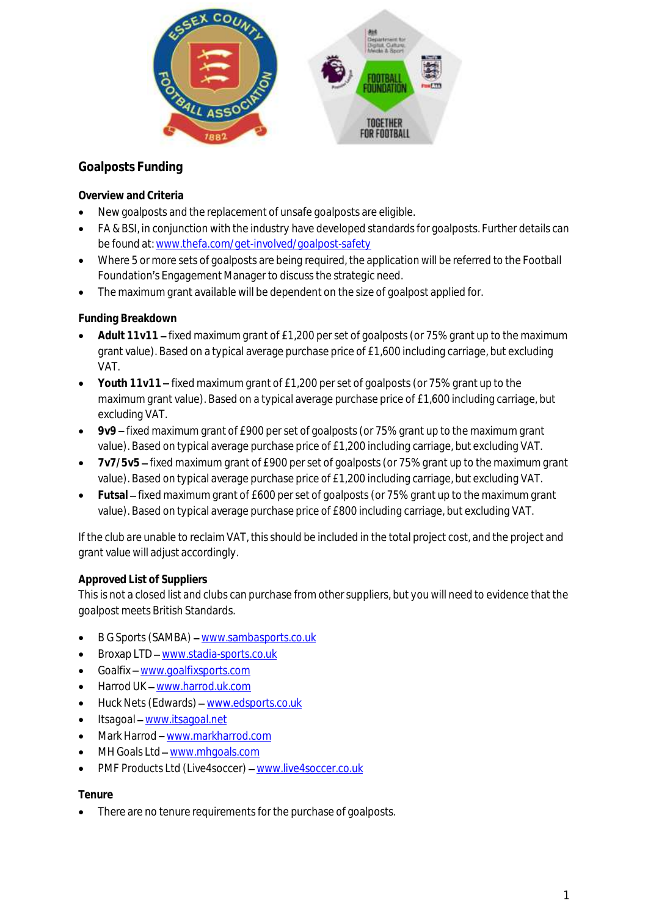

## **Goalposts Funding**

**Overview and Criteria**

- New goalposts and the replacement of unsafe goalposts are eligible.
- FA & BSI, in conjunction with the industry have developed standards for goalposts. Further details can be found at[: www.thefa.com/get-involved/goalpost-safety](http://www.thefa.com/get-involved/goalpost-safety)
- Where 5 or more sets of goalposts are being required, the application will be referred to the Football Foundation's Engagement Manager to discuss the strategic need.
- The maximum grant available will be dependent on the size of goalpost applied for.

## **Funding Breakdown**

- Adult 11v11 fixed maximum grant of £1,200 per set of goalposts (or 75% grant up to the maximum grant value). Based on a typical average purchase price of £1,600 including carriage, but excluding VAT.
- Youth 11v11 fixed maximum grant of £1,200 per set of goalposts (or 75% grant up to the maximum grant value). Based on a typical average purchase price of £1,600 including carriage, but excluding VAT.
- **9v9** fixed maximum grant of £900 per set of goalposts (or 75% grant up to the maximum grant value). Based on typical average purchase price of £1,200 including carriage, but excluding VAT.
- **7v7/5v5** fixed maximum grant of £900 per set of goalposts (or 75% grant up to the maximum grant value). Based on typical average purchase price of £1,200 including carriage, but excluding VAT.
- Futsal fixed maximum grant of £600 per set of goalposts (or 75% grant up to the maximum grant value). Based on typical average purchase price of £800 including carriage, but excluding VAT.

If the club are unable to reclaim VAT, this should be included in the total project cost, and the project and grant value will adjust accordingly.

## **Approved List of Suppliers**

This is not a closed list and clubs can purchase from other suppliers, but you will need to evidence that the goalpost meets British Standards.

- B G Sports (SAMBA) [www.sambasports.co.uk](http://www.sambasports.co.uk/)
- Broxap LTD [www.stadia-sports.co.uk](http://www.stadia-sports.co.uk/)
- Goalfix [www.goalfixsports.com](http://www.goalfixsports.com/)
- Harrod UK [www.harrod.uk.com](http://www.harrod.uk.com/)
- Huck Nets (Edwards) [www.edsports.co.uk](http://www.edsports.co.uk/)
- Itsagoal [www.itsagoal.net](http://www.itsagoal.net/)
- Mark Harrod [www.markharrod.com](http://www.markharrod.com/)
- MH Goals Ltd [www.mhgoals.com](http://www.mhgoals.com/)
- PMF Products Ltd (Live4soccer) [www.live4soccer.co.uk](http://www.live4soccer.co.uk/)

## **Tenure**

There are no tenure requirements for the purchase of goalposts.